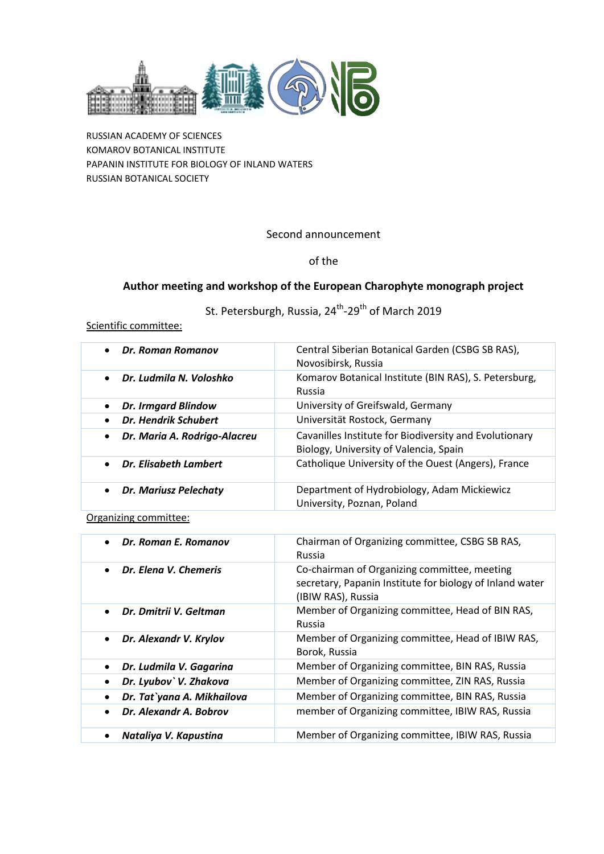

RUSSIAN ACADEMY OF SCIENCES KOMAROV BOTANICAL INSTITUTE PAPANIN INSTITUTE FOR BIOLOGY OF INLAND WATERS RUSSIAN BOTANICAL SOCIETY

## Second announcement

## of the

# **Author meeting and workshop of the European Charophyte monograph project**

St. Petersburgh, Russia, 24<sup>th</sup>-29<sup>th</sup> of March 2019

## Scientific committee:

| Dr. Roman Romanov                       | Central Siberian Botanical Garden (CSBG SB RAS),       |
|-----------------------------------------|--------------------------------------------------------|
| $\bullet$                               | Novosibirsk, Russia                                    |
| Dr. Ludmila N. Voloshko                 | Komarov Botanical Institute (BIN RAS), S. Petersburg,  |
| $\bullet$                               | Russia                                                 |
| <b>Dr. Irmgard Blindow</b><br>$\bullet$ | University of Greifswald, Germany                      |
| Dr. Hendrik Schubert                    | Universität Rostock, Germany                           |
| Dr. Maria A. Rodrigo-Alacreu            | Cavanilles Institute for Biodiversity and Evolutionary |
| $\bullet$                               | Biology, University of Valencia, Spain                 |
| Dr. Elisabeth Lambert<br>$\bullet$      | Catholique University of the Ouest (Angers), France    |
| Dr. Mariusz Pelechaty                   | Department of Hydrobiology, Adam Mickiewicz            |
| $\bullet$                               | University, Poznan, Poland                             |

## Organizing committee:

| Dr. Roman E. Romanov<br>$\bullet$    | Chairman of Organizing committee, CSBG SB RAS,<br>Russia                                                                       |
|--------------------------------------|--------------------------------------------------------------------------------------------------------------------------------|
| Dr. Elena V. Chemeris<br>$\bullet$   | Co-chairman of Organizing committee, meeting<br>secretary, Papanin Institute for biology of Inland water<br>(IBIW RAS), Russia |
| Dr. Dmitrii V. Geltman<br>$\bullet$  | Member of Organizing committee, Head of BIN RAS,<br>Russia                                                                     |
| Dr. Alexandr V. Krylov<br>٠          | Member of Organizing committee, Head of IBIW RAS,<br>Borok, Russia                                                             |
| Dr. Ludmila V. Gagarina<br>$\bullet$ | Member of Organizing committee, BIN RAS, Russia                                                                                |
| Dr. Lyubov` V. Zhakova               | Member of Organizing committee, ZIN RAS, Russia                                                                                |
| Dr. Tat`yana A. Mikhailova           | Member of Organizing committee, BIN RAS, Russia                                                                                |
| Dr. Alexandr A. Bobrov               | member of Organizing committee, IBIW RAS, Russia                                                                               |
| Nataliya V. Kapustina                | Member of Organizing committee, IBIW RAS, Russia                                                                               |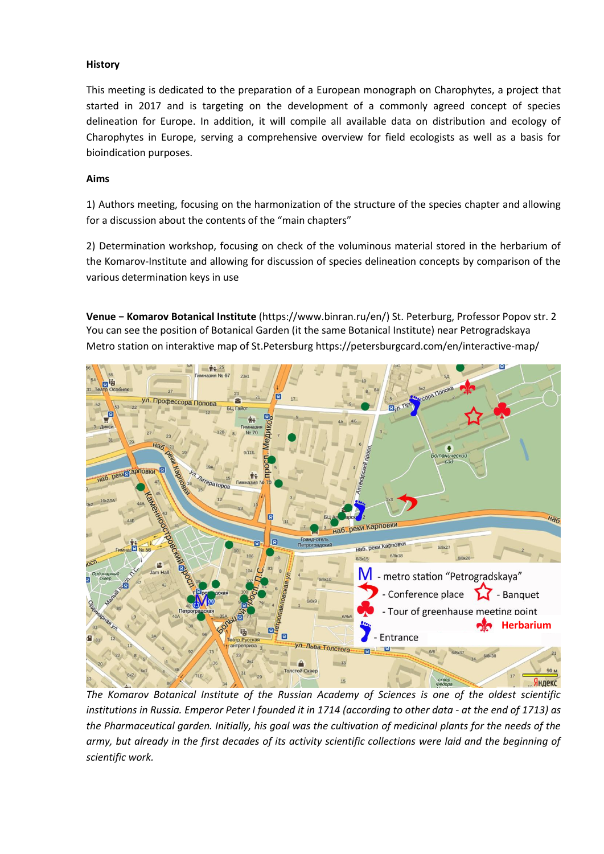#### **History**

This meeting is dedicated to the preparation of a European monograph on Charophytes, a project that started in 2017 and is targeting on the development of a commonly agreed concept of species delineation for Europe. In addition, it will compile all available data on distribution and ecology of Charophytes in Europe, serving a comprehensive overview for field ecologists as well as a basis for bioindication purposes.

#### **Aims**

1) Authors meeting, focusing on the harmonization of the structure of the species chapter and allowing for a discussion about the contents of the "main chapters"

2) Determination workshop, focusing on check of the voluminous material stored in the herbarium of the Komarov-Institute and allowing for discussion of species delineation concepts by comparison of the various determination keys in use

**Venue − Komarov Botanical Institute** (https://www.binran.ru/en/) St. Peterburg, Professor Popov str. 2 You can see the position of Botanical Garden (it the same Botanical Institute) near Petrogradskaya Metro station on interaktive map of St.Petersburg https://petersburgcard.com/en/interactive-map/



*The Komarov Botanical Institute of the Russian Academy of Sciences is one of the oldest scientific institutions in Russia. Emperor Peter I founded it in 1714 (according to other data - at the end of 1713) as the Pharmaceutical garden. Initially, his goal was the cultivation of medicinal plants for the needs of the army, but already in the first decades of its activity scientific collections were laid and the beginning of scientific work.*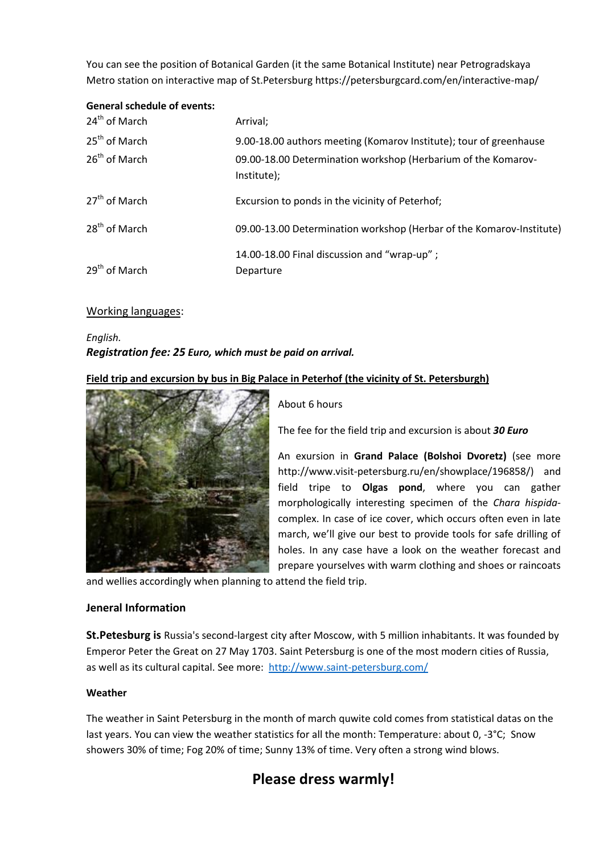You can see the position of Botanical Garden (it the same Botanical Institute) near Petrogradskaya Metro station on interactive map of St.Petersburg https://petersburgcard.com/en/interactive-map/

## **General schedule of events:**

| 24 <sup>th</sup> of March | Arrival;                                                                     |
|---------------------------|------------------------------------------------------------------------------|
| 25 <sup>th</sup> of March | 9.00-18.00 authors meeting (Komarov Institute); tour of greenhause           |
| 26 <sup>th</sup> of March | 09.00-18.00 Determination workshop (Herbarium of the Komarov-<br>Institute); |
| 27 <sup>th</sup> of March | Excursion to ponds in the vicinity of Peterhof;                              |
| 28 <sup>th</sup> of March | 09.00-13.00 Determination workshop (Herbar of the Komarov-Institute)         |
| 29 <sup>th</sup> of March | 14.00-18.00 Final discussion and "wrap-up";<br>Departure                     |

#### Working languages:

# *English. Registration fee: 25 Euro, which must be paid on arrival.*

## **Field trip and excursion by bus in Big Palace in Peterhof (the vicinity of St. Petersburgh)**



About 6 hours

The fee for the field trip and excursion is about *30 Euro*

An exursion in **Grand Palace (Bolshoi Dvoretz)** (see more http://www.visit-petersburg.ru/en/showplace/196858/) and field tripe to **Olgas pond**, where you can gather morphologically interesting specimen of the *Chara hispida*complex. In case of ice cover, which occurs often even in late march, we'll give our best to provide tools for safe drilling of holes. In any case have a look on the weather forecast and prepare yourselves with warm clothing and shoes or raincoats

and wellies accordingly when planning to attend the field trip.

#### **Jeneral Information**

**St.Petesburg is** Russia's second-largest city after Moscow, with 5 million inhabitants. It was founded by Emperor Peter the Great on 27 May 1703. Saint Petersburg is one of the most modern cities of Russia, as well as its cultural capital. See more: <http://www.saint-petersburg.com/>

#### **Weather**

The weather in Saint Petersburg in the month of march quwite cold comes from statistical datas on the last years. You can view the weather statistics for all the month: Temperature: about 0, -3°C; Snow showers 30% of time; Fog 20% of time; Sunny 13% of time. Very often a strong wind blows.

# **Please dress warmly!**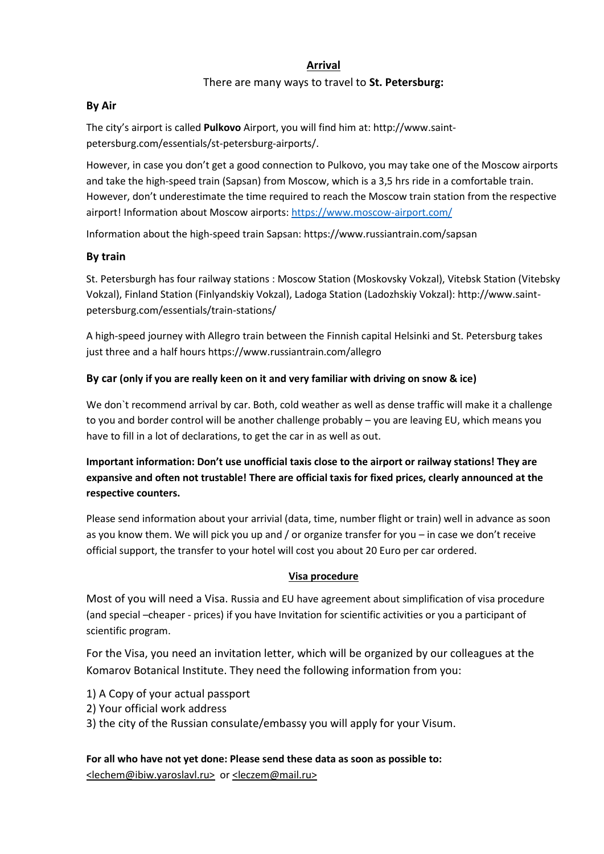## **Arrival**

## There are many ways to travel to **St. Petersburg:**

## **By Air**

The city's airport is called **Pulkovo** Airport, you will find him at: http://www.saintpetersburg.com/essentials/st-petersburg-airports/.

However, in case you don't get a good connection to Pulkovo, you may take one of the Moscow airports and take the high-speed train (Sapsan) from Moscow, which is a 3,5 hrs ride in a comfortable train. However, don't underestimate the time required to reach the Moscow train station from the respective airport! Information about Moscow airports: <https://www.moscow-airport.com/>

Information about the high-speed train Sapsan: https://www.russiantrain.com/sapsan

## **By train**

St. Petersburgh has four railway stations : Moscow Station (Moskovsky Vokzal), Vitebsk Station (Vitebsky Vokzal), Finland Station (Finlyandskiy Vokzal), Ladoga Station (Ladozhskiy Vokzal): http://www.saintpetersburg.com/essentials/train-stations/

A high-speed journey with Allegro train between the Finnish capital Helsinki and St. Petersburg takes just three and a half hours https://www.russiantrain.com/allegro

## **By car (only if you are really keen on it and very familiar with driving on snow & ice)**

We don`t recommend arrival by car. Both, cold weather as well as dense traffic will make it a challenge to you and border control will be another challenge probably – you are leaving EU, which means you have to fill in a lot of declarations, to get the car in as well as out.

**Important information: Don't use unofficial taxis close to the airport or railway stations! They are expansive and often not trustable! There are official taxis for fixed prices, clearly announced at the respective counters.**

Please send information about your arrivial (data, time, number flight or train) well in advance as soon as you know them. We will pick you up and / or organize transfer for you – in case we don't receive official support, the transfer to your hotel will cost you about 20 Euro per car ordered.

## **Visa procedure**

Most of you will need a Visa. Russia and EU have agreement about simplification of visa procedure (and special –cheaper - prices) if you have Invitation for scientific activities or you a participant of scientific program.

For the Visa, you need an invitation letter, which will be organized by our colleagues at the Komarov Botanical Institute. They need the following information from you:

- 1) A Copy of your actual passport
- 2) Your official work address
- 3) the city of the Russian consulate/embassy you will apply for your Visum.

**For all who have not yet done: Please send these data as soon as possible to:** [<lechem@ibiw.y](mailto:hydrophytes2015@gmail.com)aroslavl.ru> or <leczem@mail.ru>